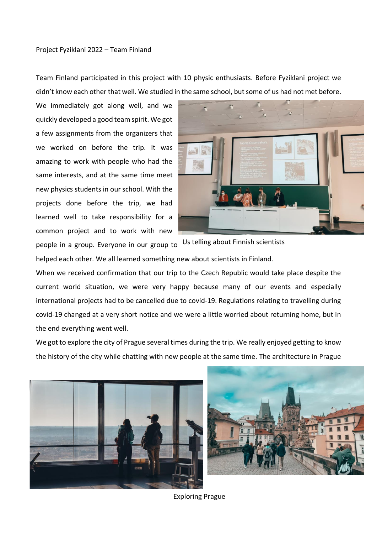## Project Fyziklani 2022 – Team Finland

Team Finland participated in this project with 10 physic enthusiasts. Before Fyziklani project we didn't know each other that well. We studied in the same school, but some of us had not met before.

We immediately got along well, and we quickly developed a good team spirit. We got a few assignments from the organizers that we worked on before the trip. It was amazing to work with people who had the same interests, and at the same time meet new physics students in our school. With the projects done before the trip, we had learned well to take responsibility for a common project and to work with new



people in a group. Everyone in our group to Us telling about Finnish scientists

helped each other. We all learned something new about scientists in Finland.

When we received confirmation that our trip to the Czech Republic would take place despite the current world situation, we were very happy because many of our events and especially international projects had to be cancelled due to covid-19. Regulations relating to travelling during covid-19 changed at a very short notice and we were a little worried about returning home, but in the end everything went well.

We got to explore the city of Prague several times during the trip. We really enjoyed getting to know the history of the city while chatting with new people at the same time. The architecture in Prague





Exploring Prague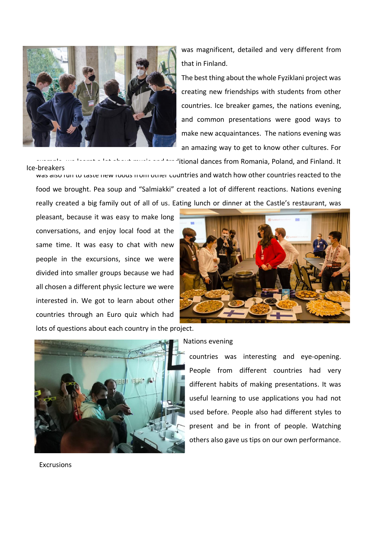

was magnificent, detailed and very different from that in Finland.

The best thing about the whole Fyziklani project was creating new friendships with students from other countries. Ice breaker games, the nations evening, and common presentations were good ways to make new acquaintances. The nations evening was an amazing way to get to know other cultures. For

Ice-breakers

'itional dances from Romania, Poland, and Finland. It

was also fun to taste hew foods from other countries and watch how other countries reacted to the food we brought. Pea soup and "Salmiakki" created a lot of different reactions. Nations evening really created a big family out of all of us. Eating lunch or dinner at the Castle's restaurant, was

pleasant, because it was easy to make long conversations, and enjoy local food at the same time. It was easy to chat with new people in the excursions, since we were divided into smaller groups because we had all chosen a different physic lecture we were interested in. We got to learn about other countries through an Euro quiz which had lots of questions about each country in the project.





Nations evening van die bestudende with students from other with students from other with  $\alpha$ 

countries was interesting and eye-opening. People from different countries had very different habits of making presentations. It was useful learning to use applications you had not used before. People also had different styles to present and be in front of people. Watching others also gave us tips on our own performance.

Excrusions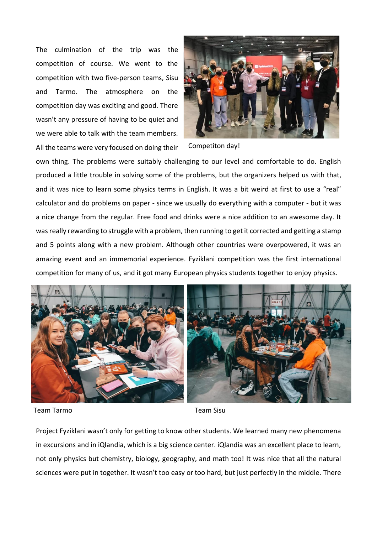The culmination of the trip was the competition of course. We went to the competition with two five-person teams, Sisu and Tarmo. The atmosphere on the competition day was exciting and good. There wasn't any pressure of having to be quiet and we were able to talk with the team members. All the teams were very focused on doing their



Competiton day!

own thing. The problems were suitably challenging to our level and comfortable to do. English produced a little trouble in solving some of the problems, but the organizers helped us with that, and it was nice to learn some physics terms in English. It was a bit weird at first to use a "real" calculator and do problems on paper - since we usually do everything with a computer - but it was a nice change from the regular. Free food and drinks were a nice addition to an awesome day. It was really rewarding to struggle with a problem, then running to get it corrected and getting a stamp and 5 points along with a new problem. Although other countries were overpowered, it was an amazing event and an immemorial experience. Fyziklani competition was the first international competition for many of us, and it got many European physics students together to enjoy physics.



Team Tarmo Team Sisu

Project Fyziklani wasn't only for getting to know other students. We learned many new phenomena in excursions and in iQlandia, which is a big science center. iQlandia was an excellent place to learn, not only physics but chemistry, biology, geography, and math too! It was nice that all the natural sciences were put in together. It wasn't too easy or too hard, but just perfectly in the middle. There